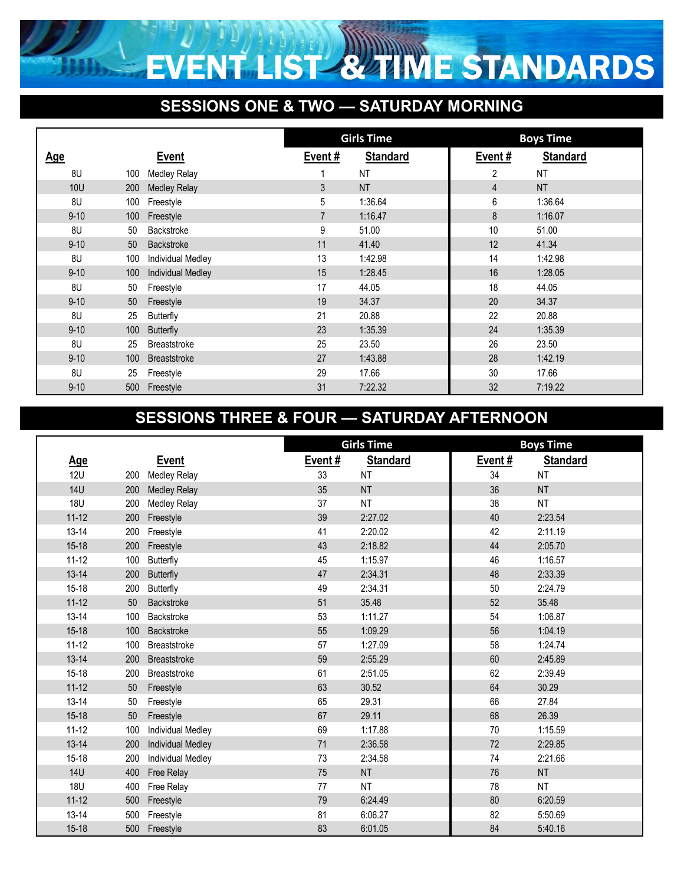

## **SESSIONS ONE & TWO — SATURDAY MORNING**

|            |                  |                          | <b>Girls Time</b> |                 |                | <b>Boys Time</b> |
|------------|------------------|--------------------------|-------------------|-----------------|----------------|------------------|
| <u>Age</u> |                  | <b>Event</b>             | Event#            | <b>Standard</b> | Event#         | <b>Standard</b>  |
| 8U         | 100              | Medley Relay             |                   | <b>NT</b>       | 2              | NT               |
| <b>10U</b> | 200              | <b>Medley Relay</b>      | 3                 | <b>NT</b>       | $\overline{4}$ | <b>NT</b>        |
| 8U         | 100              | Freestyle                | 5                 | 1:36.64         | 6              | 1:36.64          |
| $9 - 10$   | 100              | Freestyle                | $\overline{7}$    | 1:16.47         | 8              | 1:16.07          |
| 8U         | 50               | Backstroke               | 9                 | 51.00           | 10             | 51.00            |
| $9 - 10$   | 50               | Backstroke               | 11                | 41.40           | 12             | 41.34            |
| 8U         | 100              | <b>Individual Medley</b> | 13                | 1:42.98         | 14             | 1:42.98          |
| $9 - 10$   | 100 <sub>1</sub> | <b>Individual Medley</b> | 15                | 1:28.45         | 16             | 1:28.05          |
| 8U         | 50               | Freestyle                | 17                | 44.05           | 18             | 44.05            |
| $9 - 10$   | 50               | Freestyle                | 19                | 34.37           | 20             | 34.37            |
| 8U         | 25               | Butterfly                | 21                | 20.88           | 22             | 20.88            |
| $9 - 10$   | 100 <sub>1</sub> | <b>Butterfly</b>         | 23                | 1:35.39         | 24             | 1:35.39          |
| 8U         | 25               | <b>Breaststroke</b>      | 25                | 23.50           | 26             | 23.50            |
| $9 - 10$   | 100              | <b>Breaststroke</b>      | 27                | 1:43.88         | 28             | 1:42.19          |
| 8U         | 25               | Freestyle                | 29                | 17.66           | 30             | 17.66            |
| $9 - 10$   | 500              | Freestyle                | 31                | 7:22.32         | 32             | 7:19.22          |

## **SESSIONS THREE & FOUR — SATURDAY AFTERNOON**

|            |                 |                          | <b>Girls Time</b> |                 | <b>Boys Time</b> |                 |
|------------|-----------------|--------------------------|-------------------|-----------------|------------------|-----------------|
| <u>Age</u> |                 | <b>Event</b>             | Event#            | <b>Standard</b> | Event#           | <b>Standard</b> |
| <b>12U</b> | 200             | <b>Medley Relay</b>      | 33                | <b>NT</b>       | 34               | <b>NT</b>       |
| <b>14U</b> | 200             | <b>Medley Relay</b>      | 35                | <b>NT</b>       | 36               | <b>NT</b>       |
| <b>18U</b> | 200             | <b>Medley Relay</b>      | 37                | <b>NT</b>       | 38               | <b>NT</b>       |
| $11 - 12$  | 200             | Freestyle                | 39                | 2:27.02         | 40               | 2:23.54         |
| $13 - 14$  | 200             | Freestyle                | 41                | 2:20.02         | 42               | 2:11.19         |
| $15 - 18$  | 200             | Freestyle                | 43                | 2:18.82         | 44               | 2:05.70         |
| $11 - 12$  | 100             | <b>Butterfly</b>         | 45                | 1:15.97         | 46               | 1:16.57         |
| $13 - 14$  | 200             | <b>Butterfly</b>         | 47                | 2:34.31         | 48               | 2:33.39         |
| $15 - 18$  | 200             | <b>Butterfly</b>         | 49                | 2:34.31         | 50               | 2:24.79         |
| $11 - 12$  | 50 <sub>2</sub> | Backstroke               | 51                | 35.48           | 52               | 35.48           |
| $13 - 14$  | 100             | Backstroke               | 53                | 1:11.27         | 54               | 1:06.87         |
| $15 - 18$  | 100             | <b>Backstroke</b>        | 55                | 1:09.29         | 56               | 1:04.19         |
| $11 - 12$  | 100             | <b>Breaststroke</b>      | 57                | 1:27.09         | 58               | 1:24.74         |
| $13 - 14$  | 200             | Breaststroke             | 59                | 2:55.29         | 60               | 2:45.89         |
| $15-18$    | 200             | Breaststroke             | 61                | 2:51.05         | 62               | 2:39.49         |
| $11 - 12$  | 50              | Freestyle                | 63                | 30.52           | 64               | 30.29           |
| $13 - 14$  | 50              | Freestyle                | 65                | 29.31           | 66               | 27.84           |
| $15 - 18$  | 50              | Freestyle                | 67                | 29.11           | 68               | 26.39           |
| $11 - 12$  | 100             | <b>Individual Medley</b> | 69                | 1:17.88         | 70               | 1:15.59         |
| $13 - 14$  | 200             | <b>Individual Medley</b> | 71                | 2:36.58         | 72               | 2:29.85         |
| $15 - 18$  | 200             | <b>Individual Medley</b> | 73                | 2:34.58         | 74               | 2:21.66         |
| <b>14U</b> | 400             | Free Relay               | 75                | <b>NT</b>       | 76               | <b>NT</b>       |
| <b>18U</b> | 400             | Free Relay               | 77                | <b>NT</b>       | 78               | <b>NT</b>       |
| $11 - 12$  | 500             | Freestyle                | 79                | 6:24.49         | 80               | 6:20.59         |
| $13 - 14$  | 500             | Freestyle                | 81                | 6:06.27         | 82               | 5:50.69         |
| $15 - 18$  | 500             | Freestyle                | 83                | 6:01.05         | 84               | 5:40.16         |